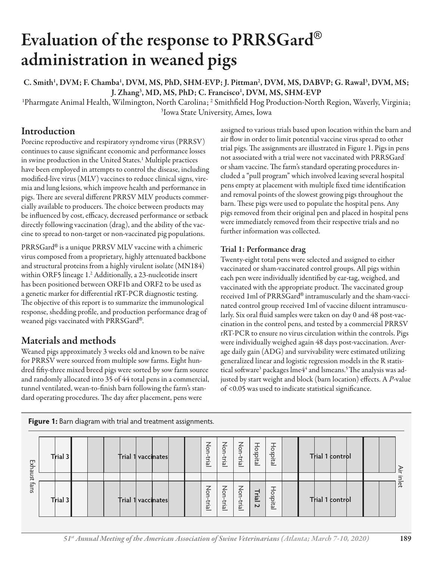# Evaluation of the response to PRRSGard® administration in weaned pigs

C. Smith<sup>1</sup>, DVM; F. Chamba<sup>1</sup>, DVM, MS, PhD, SHM-EVP; J. Pittman<sup>2</sup>, DVM, MS, DABVP; G. Rawal<sup>3</sup>, DVM, MS; J. Zhang<sup>3</sup>, MD, MS, PhD; C. Francisco<sup>1</sup>, DVM, MS, SHM-EVP

<sup>1</sup>Pharmgate Animal Health, Wilmington, North Carolina; <sup>2</sup> Smithfield Hog Production-North Region, Waverly, Virginia; 3 Iowa State University, Ames, Iowa

## Introduction

Porcine reproductive and respiratory syndrome virus (PRRSV) continues to cause significant economic and performance losses in swine production in the United States.1 Multiple practices have been employed in attempts to control the disease, including modified-live virus (MLV) vaccines to reduce clinical signs, viremia and lung lesions, which improve health and performance in pigs. There are several different PRRSV MLV products commercially available to producers. The choice between products may be influenced by cost, efficacy, decreased performance or setback directly following vaccination (drag), and the ability of the vaccine to spread to non-target or non-vaccinated pig populations.

PRRSGard® is a unique PRRSV MLV vaccine with a chimeric virus composed from a proprietary, highly attenuated backbone and structural proteins from a highly virulent isolate (MN184) within ORF5 lineage 1.2 Additionally, a 23-nucleotide insert has been positioned between ORF1b and ORF2 to be used as a genetic marker for differential rRT-PCR diagnostic testing. The objective of this report is to summarize the immunological response, shedding profile, and production performance drag of weaned pigs vaccinated with PRRSGard®.

## Materials and methods

Weaned pigs approximately 3 weeks old and known to be naïve for PRRSV were sourced from multiple sow farms. Eight hundred fifty-three mixed breed pigs were sorted by sow farm source and randomly allocated into 35 of 44 total pens in a commercial, tunnel ventilated, wean-to-finish barn following the farm's standard operating procedures. The day after placement, pens were

assigned to various trials based upon location within the barn and air flow in order to limit potential vaccine virus spread to other trial pigs. The assignments are illustrated in Figure 1. Pigs in pens not associated with a trial were not vaccinated with PRRSGard® or sham vaccine. The farm's standard operating procedures included a "pull program" which involved leaving several hospital pens empty at placement with multiple fixed time identification and removal points of the slowest growing pigs throughout the barn. These pigs were used to populate the hospital pens. Any pigs removed from their original pen and placed in hospital pens were immediately removed from their respective trials and no further information was collected.

## Trial 1: Performance drag

Twenty-eight total pens were selected and assigned to either vaccinated or sham-vaccinated control groups. All pigs within each pen were individually identified by ear-tag, weighed, and vaccinated with the appropriate product. The vaccinated group received 1ml of PRRSGard® intramuscularly and the sham-vaccinated control group received 1ml of vaccine diluent intramuscularly. Six oral fluid samples were taken on day 0 and 48 post-vaccination in the control pens, and tested by a commercial PRRSV rRT-PCR to ensure no virus circulation within the controls. Pigs were individually weighed again 48 days post-vaccination. Average daily gain (ADG) and survivability were estimated utilizing generalized linear and logistic regression models in the R statistical software<sup>3</sup> packages lme4<sup>4</sup> and lsmeans.<sup>5</sup> The analysis was adjusted by start weight and block (barn location) effects. A *P*-value of <0.05 was used to indicate statistical significance.

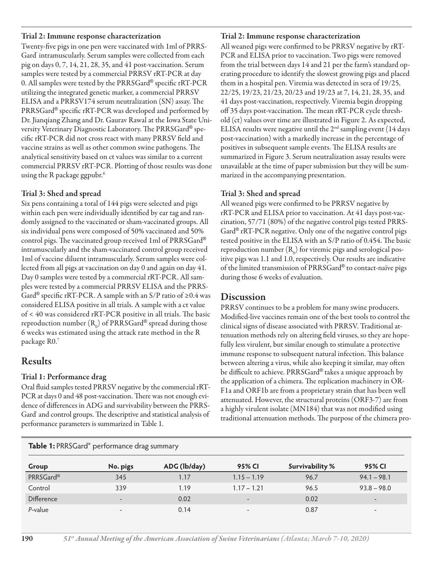#### Trial 2: Immune response characterization

Twenty-five pigs in one pen were vaccinated with 1ml of PRRS-Gard' intramuscularly. Serum samples were collected from each pig on days 0, 7, 14, 21, 28, 35, and 41 post-vaccination. Serum samples were tested by a commercial PRRSV rRT-PCR at day 0. All samples were tested by the PRRSGard® specific rRT-PCR utilizing the integrated genetic marker, a commercial PRRSV ELISA and a PRRSV174 serum neutralization (SN) assay. The PRRSGard® specific rRT-PCR was developed and performed by Dr. Jianqiang Zhang and Dr. Gaurav Rawal at the Iowa State University Veterinary Diagnostic Laboratory. The PRRSGard® specific rRT-PCR did not cross react with many PRRSV field and vaccine strains as well as other common swine pathogens. The analytical sensitivity based on ct values was similar to a current commercial PRRSV rRT-PCR. Plotting of those results was done using the R package ggpubr.<sup>6</sup>

### Trial 3: Shed and spread

Six pens containing a total of 144 pigs were selected and pigs within each pen were individually identified by ear tag and randomly assigned to the vaccinated or sham-vaccinated groups. All six individual pens were composed of 50% vaccinated and 50% control pigs. The vaccinated group received 1ml of PRRSGard<sup>®</sup> intramuscularly and the sham-vaccinated control group received 1ml of vaccine diluent intramuscularly. Serum samples were collected from all pigs at vaccination on day 0 and again on day 41. Day 0 samples were tested by a commercial rRT-PCR. All samples were tested by a commercial PRRSV ELISA and the PRRS-Gard<sup>®</sup> specific rRT-PCR. A sample with an S/P ratio of  $\geq 0.4$  was considered ELISA positive in all trials. A sample with a ct value  $of < 40$  was considered rRT-PCR positive in all trials. The basic reproduction number (R<sub>0</sub>) of PRRSGard® spread during those 6 weeks was estimated using the attack rate method in the R package R0.7

## Results

### Trial 1: Performance drag

Oral fluid samples tested PRRSV negative by the commercial rRT-PCR at days 0 and 48 post-vaccination. There was not enough evidence of differences in ADG and survivability between the PRRS-Gard' and control groups. The descriptive and statistical analysis of performance parameters is summarized in Table 1.

#### Trial 2: Immune response characterization

All weaned pigs were confirmed to be PRRSV negative by rRT-PCR and ELISA prior to vaccination. Two pigs were removed from the trial between days 14 and 21 per the farm's standard operating procedure to identify the slowest growing pigs and placed them in a hospital pen. Viremia was detected in sera of 19/25, 22/25, 19/23, 21/23, 20/23 and 19/23 at 7, 14, 21, 28, 35, and 41 days post-vaccination, respectively. Viremia begin dropping off 35 days post-vaccination. The mean rRT-PCR cycle threshold (ct) values over time are illustrated in Figure 2. As expected, ELISA results were negative until the  $2<sup>nd</sup>$  sampling event (14 days post-vaccination) with a markedly increase in the percentage of positives in subsequent sample events. The ELISA results are summarized in Figure 3. Serum neutralization assay results were unavailable at the time of paper submission but they will be summarized in the accompanying presentation.

### Trial 3: Shed and spread

All weaned pigs were confirmed to be PRRSV negative by rRT-PCR and ELISA prior to vaccination. At 41 days post-vaccination, 57/71 (80%) of the negative control pigs tested PRRS-Gard® rRT-PCR negative. Only one of the negative control pigs tested positive in the ELISA with an  $S/P$  ratio of 0.454. The basic reproduction number  $(\mathrm{R}_\mathrm{\scriptscriptstyle 0})$  for viremic pigs and serological positive pigs was 1.1 and 1.0, respectively. Our results are indicative of the limited transmission of PRRSGard® to contact-naïve pigs during those 6 weeks of evaluation.

## Discussion

PRRSV continues to be a problem for many swine producers. Modified-live vaccines remain one of the best tools to control the clinical signs of disease associated with PRRSV. Traditional attenuation methods rely on altering field viruses, so they are hopefully less virulent, but similar enough to stimulate a protective immune response to subsequent natural infection. This balance between altering a virus, while also keeping it similar, may often be difficult to achieve. PRRSGard® takes a unique approach by the application of a chimera. The replication machinery in OR-F1a and ORF1b are from a proprietary strain that has been well attenuated. However, the structural proteins (ORF3-7) are from a highly virulent isolate (MN184) that was not modified using traditional attenuation methods. The purpose of the chimera pro-

| <b>Table 1: PRRSGard</b> <sup>®</sup> performance drag summary |                          |              |                          |                 |                          |
|----------------------------------------------------------------|--------------------------|--------------|--------------------------|-----------------|--------------------------|
| Group                                                          | No. pigs                 | ADG (lb/day) | 95% CI                   | Survivability % | 95% CI                   |
| PRRSGard®                                                      | 345                      | 1.17         | $1.15 - 1.19$            | 96.7            | $94.1 - 98.1$            |
| Control                                                        | 339                      | 1.19         | $1.17 - 1.21$            | 96.5            | $93.8 - 98.0$            |
| Difference                                                     | $\overline{\phantom{0}}$ | 0.02         | $\overline{\phantom{a}}$ | 0.02            |                          |
| P-value                                                        | $\overline{\phantom{a}}$ | 0.14         | $\overline{\phantom{0}}$ | 0.87            | $\overline{\phantom{0}}$ |